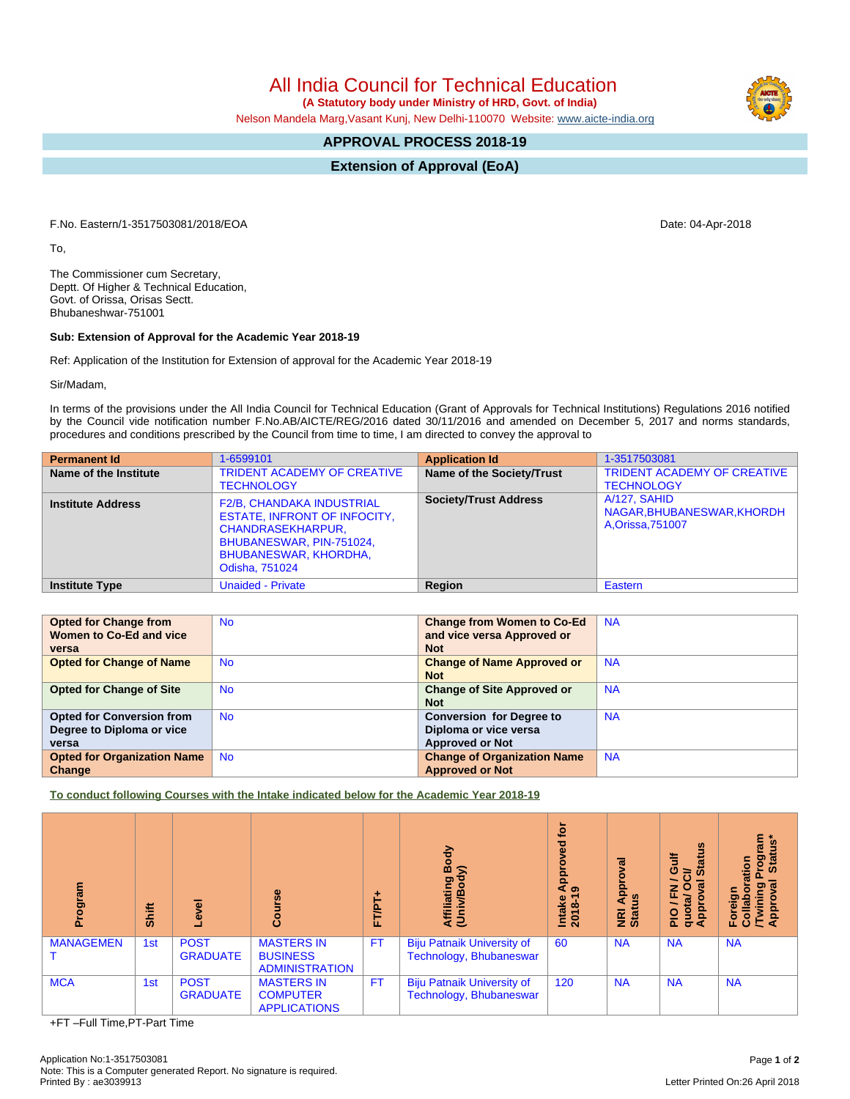All India Council for Technical Education

 **(A Statutory body under Ministry of HRD, Govt. of India)**

Nelson Mandela Marg,Vasant Kunj, New Delhi-110070 Website: [www.aicte-india.org](http://www.aicte-india.org)

## **APPROVAL PROCESS 2018-19**

**Extension of Approval (EoA)**

F.No. Eastern/1-3517503081/2018/EOA Date: 04-Apr-2018

To,

The Commissioner cum Secretary, Deptt. Of Higher & Technical Education, Govt. of Orissa, Orisas Sectt. Bhubaneshwar-751001

## **Sub: Extension of Approval for the Academic Year 2018-19**

Ref: Application of the Institution for Extension of approval for the Academic Year 2018-19

Sir/Madam,

In terms of the provisions under the All India Council for Technical Education (Grant of Approvals for Technical Institutions) Regulations 2016 notified by the Council vide notification number F.No.AB/AICTE/REG/2016 dated 30/11/2016 and amended on December 5, 2017 and norms standards, procedures and conditions prescribed by the Council from time to time, I am directed to convey the approval to

| <b>Permanent Id</b>      | 1-6599101                                                                                                                                                                         | <b>Application Id</b>        | 1-3517503081                                                  |
|--------------------------|-----------------------------------------------------------------------------------------------------------------------------------------------------------------------------------|------------------------------|---------------------------------------------------------------|
| Name of the Institute    | <b>TRIDENT ACADEMY OF CREATIVE</b><br><b>TECHNOLOGY</b>                                                                                                                           | Name of the Society/Trust    | <b>TRIDENT ACADEMY OF CREATIVE</b><br><b>TECHNOLOGY</b>       |
| <b>Institute Address</b> | <b>F2/B, CHANDAKA INDUSTRIAL</b><br><b>ESTATE, INFRONT OF INFOCITY,</b><br><b>CHANDRASEKHARPUR,</b><br>BHUBANESWAR, PIN-751024,<br><b>BHUBANESWAR, KHORDHA,</b><br>Odisha, 751024 | <b>Society/Trust Address</b> | A/127, SAHID<br>NAGAR.BHUBANESWAR.KHORDH<br>A, Orissa, 751007 |
| <b>Institute Type</b>    | <b>Unaided - Private</b>                                                                                                                                                          | Region                       | Eastern                                                       |

| <b>Opted for Change from</b>       | <b>No</b> | <b>Change from Women to Co-Ed</b>  | <b>NA</b> |
|------------------------------------|-----------|------------------------------------|-----------|
| Women to Co-Ed and vice            |           | and vice versa Approved or         |           |
| versa                              |           | <b>Not</b>                         |           |
| <b>Opted for Change of Name</b>    | <b>No</b> | <b>Change of Name Approved or</b>  | <b>NA</b> |
|                                    |           | <b>Not</b>                         |           |
| <b>Opted for Change of Site</b>    | <b>No</b> | <b>Change of Site Approved or</b>  | <b>NA</b> |
|                                    |           | <b>Not</b>                         |           |
| <b>Opted for Conversion from</b>   | <b>No</b> | <b>Conversion for Degree to</b>    | <b>NA</b> |
| Degree to Diploma or vice          |           | Diploma or vice versa              |           |
| versa                              |           | <b>Approved or Not</b>             |           |
| <b>Opted for Organization Name</b> | <b>No</b> | <b>Change of Organization Name</b> | <b>NA</b> |
| Change                             |           | <b>Approved or Not</b>             |           |

**To conduct following Courses with the Intake indicated below for the Academic Year 2018-19**

| Program          | Shift | ē<br>Φ                         | rse<br>Cour                                                   | ٠<br>FT/PT. | Body<br>⋦<br>Affiliating<br>(Univ/Body                       | for<br>ᄝ<br>۰<br>م<br>ه<br>ه<br>Intake<br>2018-1 | ಸ<br>Appl<br>NRI Ap<br>Status | <b>Status</b><br>Guif<br>ট<br><b>la</b><br>z<br>O<br>囸<br>$\mathbf{g}$<br>quota/<br>Approv<br>$\frac{1}{2}$ | rogram<br>Status*<br>ation<br>ख़<br>Foreign<br>Collabora<br>/Twining<br>Approval |
|------------------|-------|--------------------------------|---------------------------------------------------------------|-------------|--------------------------------------------------------------|--------------------------------------------------|-------------------------------|-------------------------------------------------------------------------------------------------------------|----------------------------------------------------------------------------------|
| <b>MANAGEMEN</b> | 1st   | <b>POST</b><br><b>GRADUATE</b> | <b>MASTERS IN</b><br><b>BUSINESS</b><br><b>ADMINISTRATION</b> | <b>FT</b>   | <b>Biju Patnaik University of</b><br>Technology, Bhubaneswar | 60                                               | <b>NA</b>                     | <b>NA</b>                                                                                                   | <b>NA</b>                                                                        |
| <b>MCA</b>       | 1st   | <b>POST</b><br><b>GRADUATE</b> | <b>MASTERS IN</b><br><b>COMPUTER</b><br><b>APPLICATIONS</b>   | <b>FT</b>   | <b>Biju Patnaik University of</b><br>Technology, Bhubaneswar | 120                                              | <b>NA</b>                     | <b>NA</b>                                                                                                   | <b>NA</b>                                                                        |

+FT –Full Time,PT-Part Time